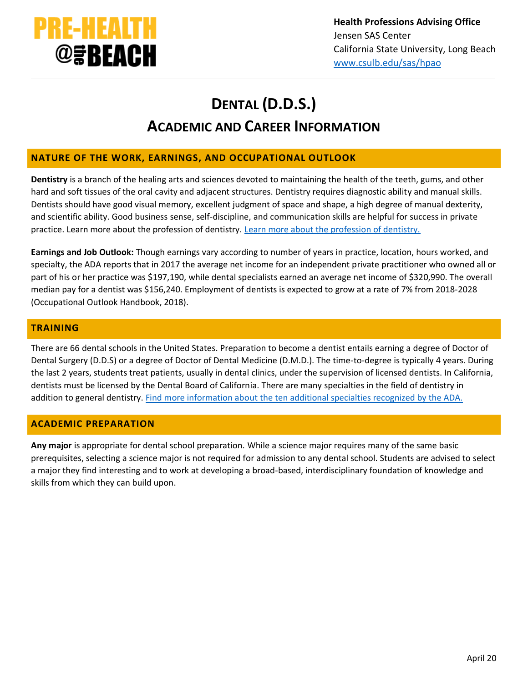

# **DENTAL (D.D.S.) ACADEMIC AND CAREER INFORMATION**

## **NATURE OF THE WORK, EARNINGS, AND OCCUPATIONAL OUTLOOK**

**Dentistry** is a branch of the healing arts and sciences devoted to maintaining the health of the teeth, gums, and other hard and soft tissues of the oral cavity and adjacent structures. Dentistry requires diagnostic ability and manual skills. Dentists should have good visual memory, excellent judgment of space and shape, a high degree of manual dexterity, and scientific ability. Good business sense, self-discipline, and communication skills are helpful for success in private practice. Learn more about the profession of dentistry. [Learn more about the profession of dentistry.](https://www.adea.org/GoDental/Dentistry_101/Why_be_a_dentist_.aspx)

**Earnings and Job Outlook:** Though earnings vary according to number of years in practice, location, hours worked, and specialty, the ADA reports that in 2017 the average net income for an independent private practitioner who owned all or part of his or her practice was \$197,190, while dental specialists earned an average net income of \$320,990. The overall median pay for a dentist was \$156,240. Employment of dentists is expected to grow at a rate of 7% from 2018-2028 (Occupational Outlook Handbook, 2018).

#### **TRAINING**

There are 66 dental schools in the United States. Preparation to become a dentist entails earning a degree of Doctor of Dental Surgery (D.D.S) or a degree of Doctor of Dental Medicine (D.M.D.). The time-to-degree is typically 4 years. During the last 2 years, students treat patients, usually in dental clinics, under the supervision of licensed dentists. In California, dentists must be licensed by the Dental Board of California. There are many specialties in the field of dentistry in addition to general dentistry. [Find more information about the ten additional specialties recognized by the ADA.](https://www.ada.org/en/ncrdscb/dental-specialties/specialty-definitions)

## **ACADEMIC PREPARATION**

**Any major** is appropriate for dental school preparation. While a science major requires many of the same basic prerequisites, selecting a science major is not required for admission to any dental school. Students are advised to select a major they find interesting and to work at developing a broad-based, interdisciplinary foundation of knowledge and skills from which they can build upon.